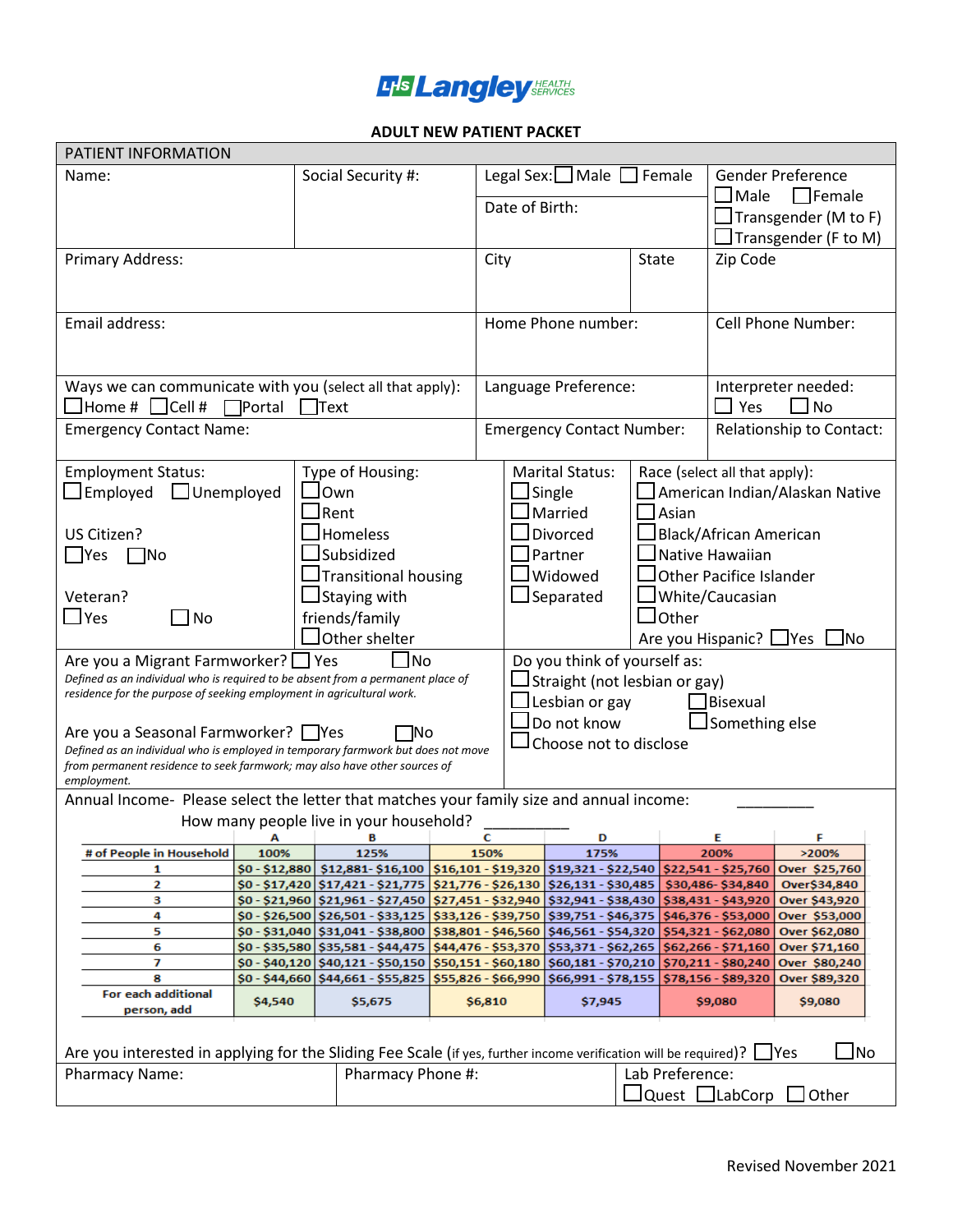

## **ADULT NEW PATIENT PACKET**

| PATIENT INFORMATION                                                                                                                                           |                                      |                                                                                                                                                |      |                                                                                                        |                                      |                 |                                          |                                |
|---------------------------------------------------------------------------------------------------------------------------------------------------------------|--------------------------------------|------------------------------------------------------------------------------------------------------------------------------------------------|------|--------------------------------------------------------------------------------------------------------|--------------------------------------|-----------------|------------------------------------------|--------------------------------|
| Name:                                                                                                                                                         | Social Security #:                   |                                                                                                                                                |      | Legal Sex: $\Box$ Male<br>Female                                                                       |                                      | $\Box$ Male     | Gender Preference<br>$\Box$ Female       |                                |
|                                                                                                                                                               |                                      |                                                                                                                                                |      | Date of Birth:                                                                                         |                                      |                 | Transgender (M to F)                     |                                |
|                                                                                                                                                               |                                      |                                                                                                                                                |      |                                                                                                        |                                      |                 |                                          | Transgender (F to M)           |
| Primary Address:                                                                                                                                              |                                      |                                                                                                                                                | City |                                                                                                        |                                      | <b>State</b>    | Zip Code                                 |                                |
|                                                                                                                                                               |                                      |                                                                                                                                                |      |                                                                                                        |                                      |                 |                                          |                                |
| Email address:                                                                                                                                                |                                      |                                                                                                                                                |      | Home Phone number:<br>Cell Phone Number:                                                               |                                      |                 |                                          |                                |
|                                                                                                                                                               |                                      |                                                                                                                                                |      |                                                                                                        |                                      |                 |                                          |                                |
| Ways we can communicate with you (select all that apply):                                                                                                     |                                      |                                                                                                                                                |      | Language Preference:<br>Interpreter needed:                                                            |                                      |                 |                                          |                                |
| $\Box$ Home # $\Box$ Cell # $\Box$ Portal $\Box$ Text                                                                                                         |                                      |                                                                                                                                                |      |                                                                                                        |                                      |                 | Yes                                      | ⊿ No                           |
| <b>Emergency Contact Name:</b>                                                                                                                                |                                      |                                                                                                                                                |      |                                                                                                        | <b>Emergency Contact Number:</b>     |                 |                                          | Relationship to Contact:       |
| <b>Employment Status:</b>                                                                                                                                     |                                      | Type of Housing:                                                                                                                               |      |                                                                                                        | <b>Marital Status:</b>               |                 | Race (select all that apply):            |                                |
| $\Box$ Employed<br>$\Box$ Unemployed                                                                                                                          |                                      | Own                                                                                                                                            |      |                                                                                                        | $\Box$ Single                        |                 |                                          | American Indian/Alaskan Native |
|                                                                                                                                                               |                                      | JRent                                                                                                                                          |      |                                                                                                        | Married                              | Asian           |                                          |                                |
| US Citizen?                                                                                                                                                   |                                      | Homeless                                                                                                                                       |      |                                                                                                        | Divorced                             |                 | Black/African American                   |                                |
| $\Box$ Yes<br>1No                                                                                                                                             |                                      | Subsidized                                                                                                                                     |      |                                                                                                        | l Partner                            |                 | Native Hawaiian                          |                                |
|                                                                                                                                                               |                                      | $\Box$ Transitional housing                                                                                                                    |      |                                                                                                        | $\operatorname{\mathsf{I}}$ Widowed  |                 | Other Pacifice Islander                  |                                |
| Veteran?                                                                                                                                                      |                                      | Staying with                                                                                                                                   |      | Separated<br>White/Caucasian                                                                           |                                      |                 |                                          |                                |
|                                                                                                                                                               |                                      |                                                                                                                                                |      |                                                                                                        |                                      |                 |                                          |                                |
| $\Box$ Yes<br>friends/family<br><b>No</b>                                                                                                                     |                                      |                                                                                                                                                |      |                                                                                                        |                                      | $\Box$ Other    |                                          |                                |
|                                                                                                                                                               |                                      | Other shelter                                                                                                                                  |      |                                                                                                        |                                      |                 |                                          | Are you Hispanic? ∐Yes ∐No     |
| <b>INo</b><br>$\blacksquare$ Yes<br>Are you a Migrant Farmworker?                                                                                             |                                      |                                                                                                                                                |      |                                                                                                        | Do you think of yourself as:         |                 |                                          |                                |
| Defined as an individual who is required to be absent from a permanent place of                                                                               |                                      |                                                                                                                                                |      |                                                                                                        | $\Box$ Straight (not lesbian or gay) |                 |                                          |                                |
| residence for the purpose of seeking employment in agricultural work.                                                                                         |                                      |                                                                                                                                                |      |                                                                                                        | Lesbian or gay                       |                 | Bisexual                                 |                                |
|                                                                                                                                                               |                                      |                                                                                                                                                |      |                                                                                                        | Do not know                          |                 | Something else                           |                                |
| Are you a Seasonal Farmworker? PYes                                                                                                                           |                                      | <b>INO</b>                                                                                                                                     |      |                                                                                                        | Choose not to disclose               |                 |                                          |                                |
| Defined as an individual who is employed in temporary farmwork but does not move<br>from permanent residence to seek farmwork; may also have other sources of |                                      |                                                                                                                                                |      |                                                                                                        |                                      |                 |                                          |                                |
| employment.                                                                                                                                                   |                                      |                                                                                                                                                |      |                                                                                                        |                                      |                 |                                          |                                |
| Annual Income- Please select the letter that matches your family size and annual income:                                                                      |                                      |                                                                                                                                                |      |                                                                                                        |                                      |                 |                                          |                                |
|                                                                                                                                                               |                                      | How many people live in your household?                                                                                                        |      |                                                                                                        |                                      |                 |                                          |                                |
|                                                                                                                                                               | А                                    | в                                                                                                                                              | с    |                                                                                                        | D                                    |                 | Ε                                        |                                |
| # of People in Household                                                                                                                                      | 100%                                 | 125%                                                                                                                                           | 150% |                                                                                                        | 175%                                 |                 | 200%                                     | >200%                          |
| 1<br>2                                                                                                                                                        | \$0 - \$12,880                       | \$12,881- \$16,100 \$16,101 - \$19,320 \$19,321 - \$22,540<br>\$0 - \$17,420   \$17,421 - \$21,775   \$21,776 - \$26,130   \$26,131 - \$30,485 |      |                                                                                                        |                                      |                 | \$22,541 - \$25,760<br>\$30,486-\$34,840 | Over \$25,760<br>Over\$34,840  |
| з                                                                                                                                                             |                                      | \$0 - \$21,960   \$21,961 - \$27,450   \$27,451 - \$32,940   \$32,941 - \$38,430                                                               |      |                                                                                                        |                                      |                 | \$38,431 - \$43,920                      | Over \$43,920                  |
| 4                                                                                                                                                             |                                      | \$0 - \$26,500   \$26,501 - \$33,125   \$33,126 - \$39,750   \$39,751 - \$46,375                                                               |      |                                                                                                        |                                      |                 | \$46,376 - \$53,000                      | Over \$53,000                  |
| 5                                                                                                                                                             |                                      | \$0 - \$31,040   \$31,041 - \$38,800   \$38,801 - \$46,560   \$46,561 - \$54,320                                                               |      |                                                                                                        |                                      |                 | \$54,321 - \$62,080                      | Over \$62,080                  |
| 6                                                                                                                                                             |                                      | \$0 - \$35,580 \$35,581 - \$44,475   \$44,476 - \$53,370   \$53,371 - \$62,265   \$62,266 - \$71,160                                           |      |                                                                                                        |                                      |                 |                                          | Over \$71,160                  |
| 7                                                                                                                                                             |                                      | \$0 - \$44,660   \$44,661 - \$55,825   \$55,826 - \$66,990                                                                                     |      | \$0 - \$40,120   \$40,121 - \$50,150   \$50,151 - \$60,180   \$60,181 - \$70,210   \$70,211 - \$80,240 |                                      |                 |                                          | Over \$80,240                  |
| 8<br>For each additional                                                                                                                                      |                                      |                                                                                                                                                |      |                                                                                                        | \$66,991 - \$78,155                  |                 | \$78,156 - \$89,320                      | Over \$89,320                  |
| person, add                                                                                                                                                   | \$4,540                              | \$5,675                                                                                                                                        |      | \$6,810<br>\$7,945<br>\$9,080                                                                          |                                      | \$9,080         |                                          |                                |
|                                                                                                                                                               |                                      |                                                                                                                                                |      |                                                                                                        |                                      |                 |                                          |                                |
| Are you interested in applying for the Sliding Fee Scale (if yes, further income verification will be required)? $\Box$ Yes                                   |                                      |                                                                                                                                                |      |                                                                                                        |                                      |                 |                                          | ⊿No                            |
| Pharmacy Name:<br>Pharmacy Phone #:                                                                                                                           |                                      |                                                                                                                                                |      |                                                                                                        |                                      | Lab Preference: |                                          |                                |
|                                                                                                                                                               | Quest $\Box$ LabCorp<br>$\Box$ Other |                                                                                                                                                |      |                                                                                                        |                                      |                 |                                          |                                |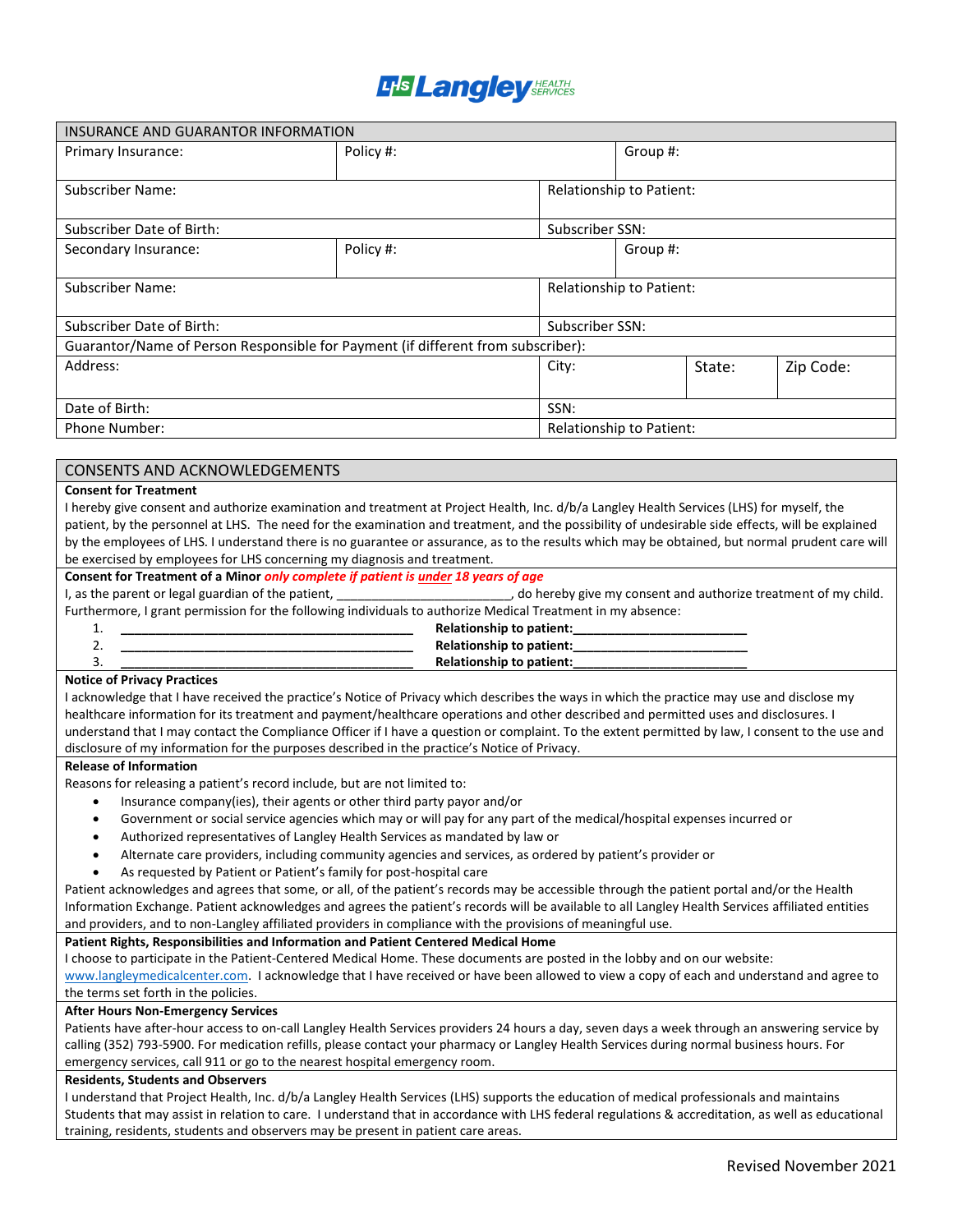# **LHS Langley SERVICES**

| INSURANCE AND GUARANTOR INFORMATION                                              |                       |                          |          |        |           |
|----------------------------------------------------------------------------------|-----------------------|--------------------------|----------|--------|-----------|
| Primary Insurance:                                                               | Policy #:             |                          | Group #: |        |           |
| <b>Subscriber Name:</b>                                                          |                       | Relationship to Patient: |          |        |           |
| Subscriber Date of Birth:                                                        |                       | Subscriber SSN:          |          |        |           |
| Secondary Insurance:                                                             | Policy #:<br>Group #: |                          |          |        |           |
| Subscriber Name:                                                                 |                       | Relationship to Patient: |          |        |           |
| Subscriber Date of Birth:                                                        |                       | Subscriber SSN:          |          |        |           |
| Guarantor/Name of Person Responsible for Payment (if different from subscriber): |                       |                          |          |        |           |
| Address:                                                                         |                       | City:                    |          | State: | Zip Code: |
| Date of Birth:                                                                   |                       | SSN:                     |          |        |           |
| <b>Phone Number:</b>                                                             |                       | Relationship to Patient: |          |        |           |
|                                                                                  |                       |                          |          |        |           |

### CONSENTS AND ACKNOWLEDGEMENTS

#### **Consent for Treatment**

I hereby give consent and authorize examination and treatment at Project Health, Inc. d/b/a Langley Health Services (LHS) for myself, the patient, by the personnel at LHS. The need for the examination and treatment, and the possibility of undesirable side effects, will be explained by the employees of LHS. I understand there is no guarantee or assurance, as to the results which may be obtained, but normal prudent care will be exercised by employees for LHS concerning my diagnosis and treatment.

#### **Consent for Treatment of a Minor** *only complete if patient is under 18 years of age*

I, as the parent or legal guardian of the patient, the consent and authorize treatment of my child. Furthermore, I grant permission for the following individuals to authorize Medical Treatment in my absence:

|         | Relationship to patient:        |
|---------|---------------------------------|
| -       | <b>Relationship to patient:</b> |
| $\cdot$ | <b>Relationship to patient:</b> |

#### **Notice of Privacy Practices**

I acknowledge that I have received the practice's Notice of Privacy which describes the ways in which the practice may use and disclose my healthcare information for its treatment and payment/healthcare operations and other described and permitted uses and disclosures. I understand that I may contact the Compliance Officer if I have a question or complaint. To the extent permitted by law, I consent to the use and disclosure of my information for the purposes described in the practice's Notice of Privacy.

#### **Release of Information**

Reasons for releasing a patient's record include, but are not limited to:

- Insurance company(ies), their agents or other third party payor and/or
- Government or social service agencies which may or will pay for any part of the medical/hospital expenses incurred or
- Authorized representatives of Langley Health Services as mandated by law or
- Alternate care providers, including community agencies and services, as ordered by patient's provider or
- As requested by Patient or Patient's family for post-hospital care

Patient acknowledges and agrees that some, or all, of the patient's records may be accessible through the patient portal and/or the Health Information Exchange. Patient acknowledges and agrees the patient's records will be available to all Langley Health Services affiliated entities and providers, and to non-Langley affiliated providers in compliance with the provisions of meaningful use.

### **Patient Rights, Responsibilities and Information and Patient Centered Medical Home**

I choose to participate in the Patient-Centered Medical Home. These documents are posted in the lobby and on our website:

[www.langleymedicalcenter.com.](http://www.langleymedicalcenter.com/) I acknowledge that I have received or have been allowed to view a copy of each and understand and agree to the terms set forth in the policies.

#### **After Hours Non-Emergency Services**

Patients have after-hour access to on-call Langley Health Services providers 24 hours a day, seven days a week through an answering service by calling (352) 793-5900. For medication refills, please contact your pharmacy or Langley Health Services during normal business hours. For emergency services, call 911 or go to the nearest hospital emergency room.

#### **Residents, Students and Observers**

I understand that Project Health, Inc. d/b/a Langley Health Services (LHS) supports the education of medical professionals and maintains Students that may assist in relation to care. I understand that in accordance with LHS federal regulations & accreditation, as well as educational training, residents, students and observers may be present in patient care areas.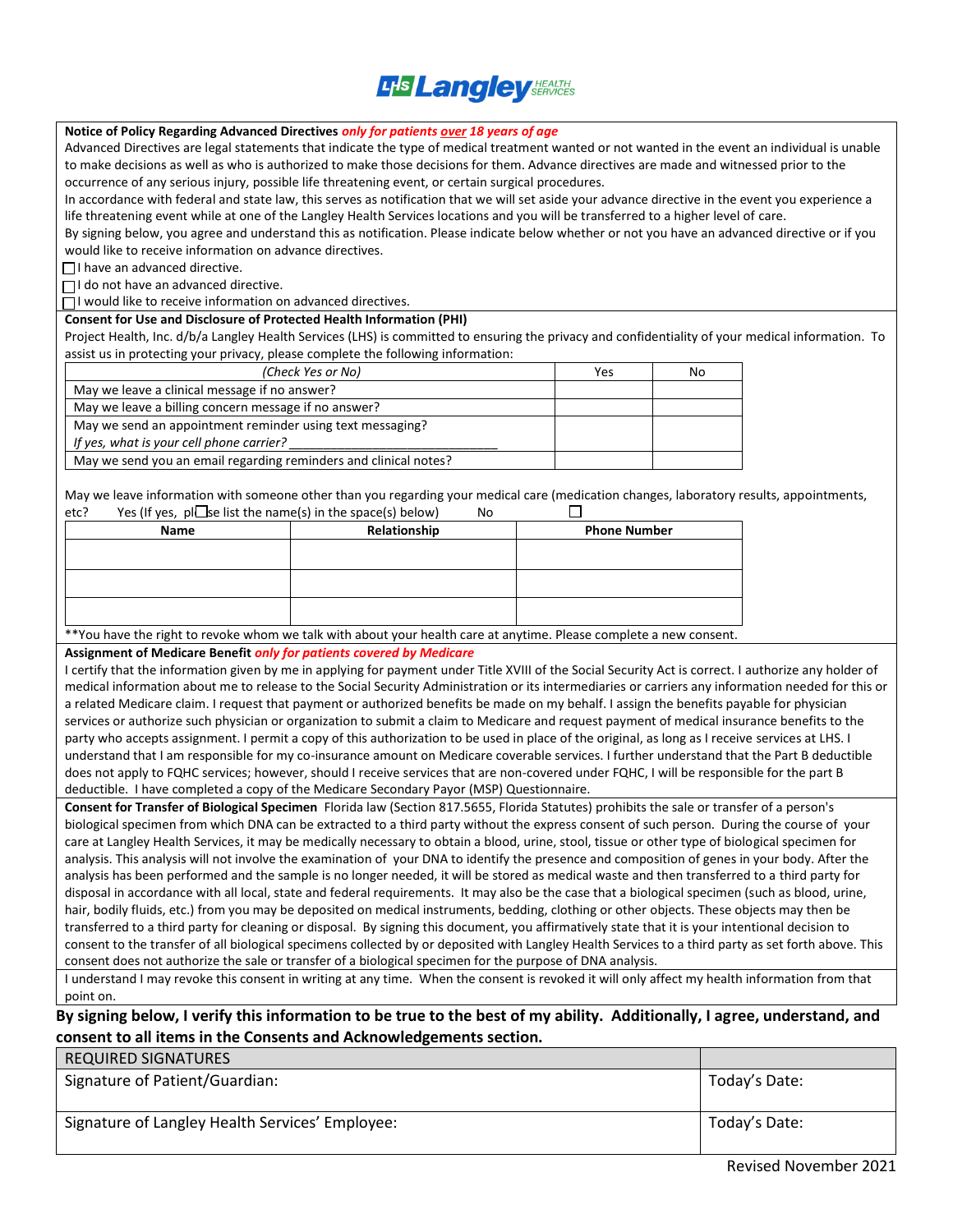# **L<sub>is</sub> Langley SERVICES</mark>**

### **Notice of Policy Regarding Advanced Directives** *only for patients over 18 years of age*

Advanced Directives are legal statements that indicate the type of medical treatment wanted or not wanted in the event an individual is unable to make decisions as well as who is authorized to make those decisions for them. Advance directives are made and witnessed prior to the occurrence of any serious injury, possible life threatening event, or certain surgical procedures.

In accordance with federal and state law, this serves as notification that we will set aside your advance directive in the event you experience a life threatening event while at one of the Langley Health Services locations and you will be transferred to a higher level of care.

By signing below, you agree and understand this as notification. Please indicate below whether or not you have an advanced directive or if you would like to receive information on advance directives.

 $\Box$ I have an advanced directive.

□I do not have an advanced directive.

 $\Box$ I would like to receive information on advanced directives.

### **Consent for Use and Disclosure of Protected Health Information (PHI)**

Project Health, Inc. d/b/a Langley Health Services (LHS) is committed to ensuring the privacy and confidentiality of your medical information. To assist us in protecting your privacy, please complete the following information:

| (Check Yes or No)                                                | Yes | No |
|------------------------------------------------------------------|-----|----|
| May we leave a clinical message if no answer?                    |     |    |
| May we leave a billing concern message if no answer?             |     |    |
| May we send an appointment reminder using text messaging?        |     |    |
| If yes, what is your cell phone carrier?                         |     |    |
| May we send you an email regarding reminders and clinical notes? |     |    |

May we leave information with someone other than you regarding your medical care (medication changes, laboratory results, appointments, etc? Yes (If yes, place list the name(s) in the space(s) below) No  $\Box$ 

|      | . .          |                     |
|------|--------------|---------------------|
| Name | Relationship | <b>Phone Number</b> |
|      |              |                     |
|      |              |                     |
|      |              |                     |
|      |              |                     |
|      |              |                     |
|      |              |                     |

\*\*You have the right to revoke whom we talk with about your health care at anytime. Please complete a new consent.

**Assignment of Medicare Benefit** *only for patients covered by Medicare*

I certify that the information given by me in applying for payment under Title XVIII of the Social Security Act is correct. I authorize any holder of medical information about me to release to the Social Security Administration or its intermediaries or carriers any information needed for this or a related Medicare claim. I request that payment or authorized benefits be made on my behalf. I assign the benefits payable for physician services or authorize such physician or organization to submit a claim to Medicare and request payment of medical insurance benefits to the party who accepts assignment. I permit a copy of this authorization to be used in place of the original, as long as I receive services at LHS. I understand that I am responsible for my co-insurance amount on Medicare coverable services. I further understand that the Part B deductible does not apply to FQHC services; however, should I receive services that are non-covered under FQHC, I will be responsible for the part B deductible. I have completed a copy of the Medicare Secondary Payor (MSP) Questionnaire.

**Consent for Transfer of Biological Specimen** Florida law (Section 817.5655, Florida Statutes) prohibits the sale or transfer of a person's biological specimen from which DNA can be extracted to a third party without the express consent of such person. During the course of your care at Langley Health Services, it may be medically necessary to obtain a blood, urine, stool, tissue or other type of biological specimen for analysis. This analysis will not involve the examination of your DNA to identify the presence and composition of genes in your body. After the analysis has been performed and the sample is no longer needed, it will be stored as medical waste and then transferred to a third party for disposal in accordance with all local, state and federal requirements. It may also be the case that a biological specimen (such as blood, urine, hair, bodily fluids, etc.) from you may be deposited on medical instruments, bedding, clothing or other objects. These objects may then be transferred to a third party for cleaning or disposal. By signing this document, you affirmatively state that it is your intentional decision to consent to the transfer of all biological specimens collected by or deposited with Langley Health Services to a third party as set forth above. This consent does not authorize the sale or transfer of a biological specimen for the purpose of DNA analysis.

I understand I may revoke this consent in writing at any time. When the consent is revoked it will only affect my health information from that point on.

**By signing below, I verify this information to be true to the best of my ability. Additionally, I agree, understand, and consent to all items in the Consents and Acknowledgements section.**

| REQUIRED SIGNATURES                             |               |
|-------------------------------------------------|---------------|
| Signature of Patient/Guardian:                  | Today's Date: |
| Signature of Langley Health Services' Employee: | Today's Date: |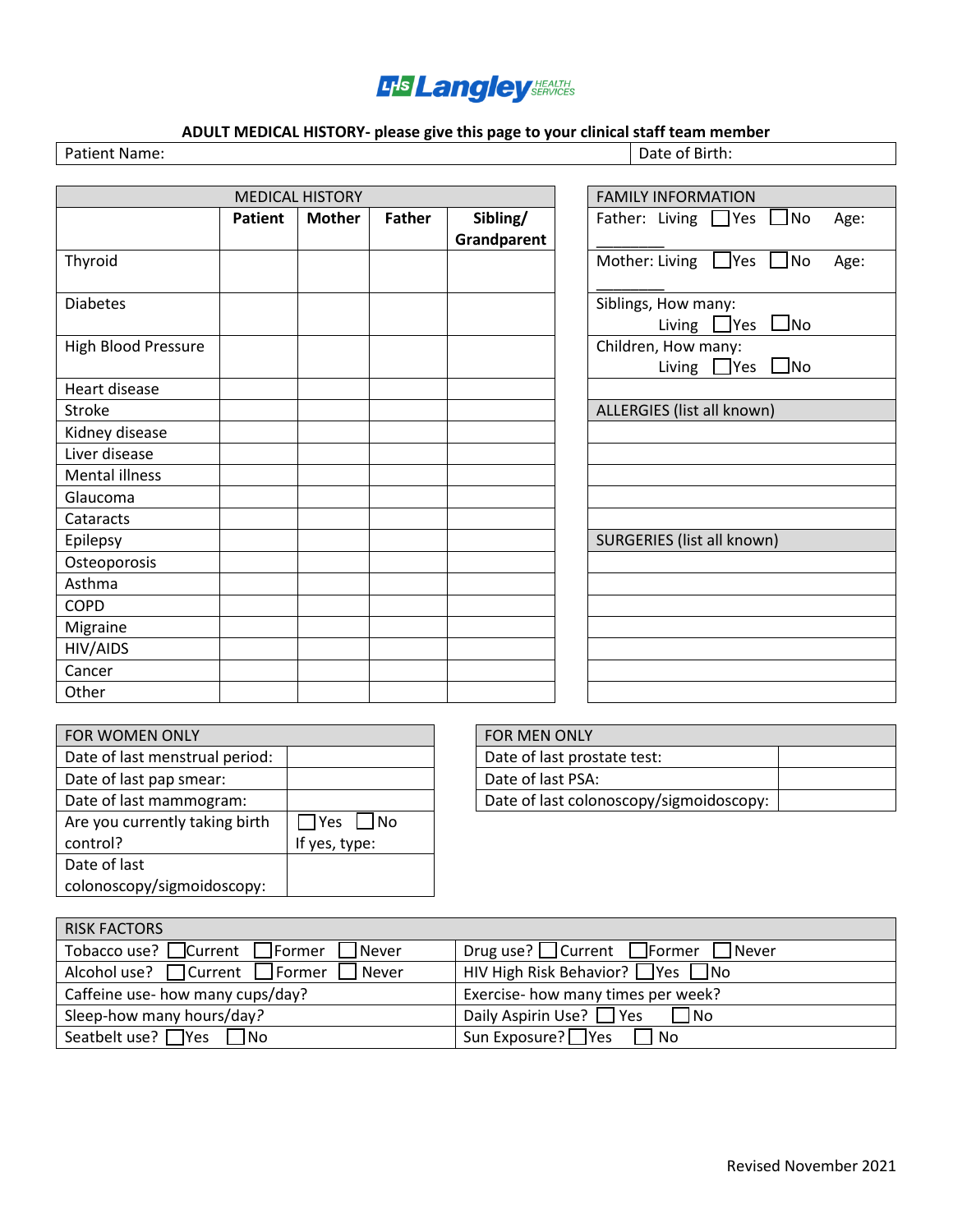# *LT-S Langley HEALTH*

## **ADULT MEDICAL HISTORY- please give this page to your clinical staff team member**

|                      | ADOLI IVILDICAL HIJTONT- PICASC KIVC GIIS PAKC TO YOUI CHINCAI STATI TCAHI HICHINCI |                        |               |                         |                                                    |  |  |
|----------------------|-------------------------------------------------------------------------------------|------------------------|---------------|-------------------------|----------------------------------------------------|--|--|
| <b>Patient Name:</b> |                                                                                     |                        |               |                         | Date of Birth:                                     |  |  |
|                      |                                                                                     |                        |               |                         |                                                    |  |  |
|                      |                                                                                     | <b>MEDICAL HISTORY</b> |               |                         | <b>FAMILY INFORMATION</b>                          |  |  |
|                      | <b>Patient</b>                                                                      | <b>Mother</b>          | <b>Father</b> | Sibling/<br>Grandparent | Father: Living $\Box$ Yes $\Box$ No<br>Age:        |  |  |
| Thyroid              |                                                                                     |                        |               |                         | Mother: Living Yes No<br>Age:                      |  |  |
| <b>Diabetes</b>      |                                                                                     |                        |               |                         | Siblings, How many:<br>Living $\Box$ Yes $\Box$ No |  |  |
| High Blood Pressure  |                                                                                     |                        |               |                         | Children, How many:<br>Living $\Box$ Yes $\Box$ No |  |  |
| Heart disease        |                                                                                     |                        |               |                         |                                                    |  |  |
| Stroke               |                                                                                     |                        |               |                         | ALLERGIES (list all known)                         |  |  |
| Kidney disease       |                                                                                     |                        |               |                         |                                                    |  |  |

Epilepsy **Example 2018** SURGERIES (list all known)

| <b>FOR WOMEN ONLY</b>          |                      | <b>FOR MEN ONLY</b>                     |
|--------------------------------|----------------------|-----------------------------------------|
| Date of last menstrual period: |                      | Date of last prostate test:             |
| Date of last pap smear:        |                      | Date of last PSA:                       |
| Date of last mammogram:        |                      | Date of last colonoscopy/sigmoidoscopy: |
| Are you currently taking birth | $\Box$ Yes $\Box$ No |                                         |
| control?                       | If yes, type:        |                                         |
| Date of last                   |                      |                                         |
| colonoscopy/sigmoidoscopy:     |                      |                                         |

Liver disease Mental illness Glaucoma Cataracts

**Osteoporosis** Asthma COPD Migraine HIV/AIDS Cancer Other

| <b>FOR MEN ONLY</b>                     |  |
|-----------------------------------------|--|
| Date of last prostate test:             |  |
| Date of last PSA:                       |  |
| Date of last colonoscopy/sigmoidoscopy: |  |

| <b>RISK FACTORS</b>                                   |                                                     |  |
|-------------------------------------------------------|-----------------------------------------------------|--|
| Tobacco use? $\Box$ Current $\Box$ Former<br>l lNever | Drug use? $\Box$ Current $\Box$ Former $\Box$ Never |  |
| Alcohol use? □ Current □ Former □ Never               | HIV High Risk Behavior? Ves ∩No                     |  |
| Caffeine use- how many cups/day?                      | Exercise- how many times per week?                  |  |
| Sleep-how many hours/day?                             | Daily Aspirin Use? 2 Yes 2No                        |  |
| Seatbelt use? $\Box$ Yes $\Box$ No                    | Sun Exposure? ■ Yes<br>- I No                       |  |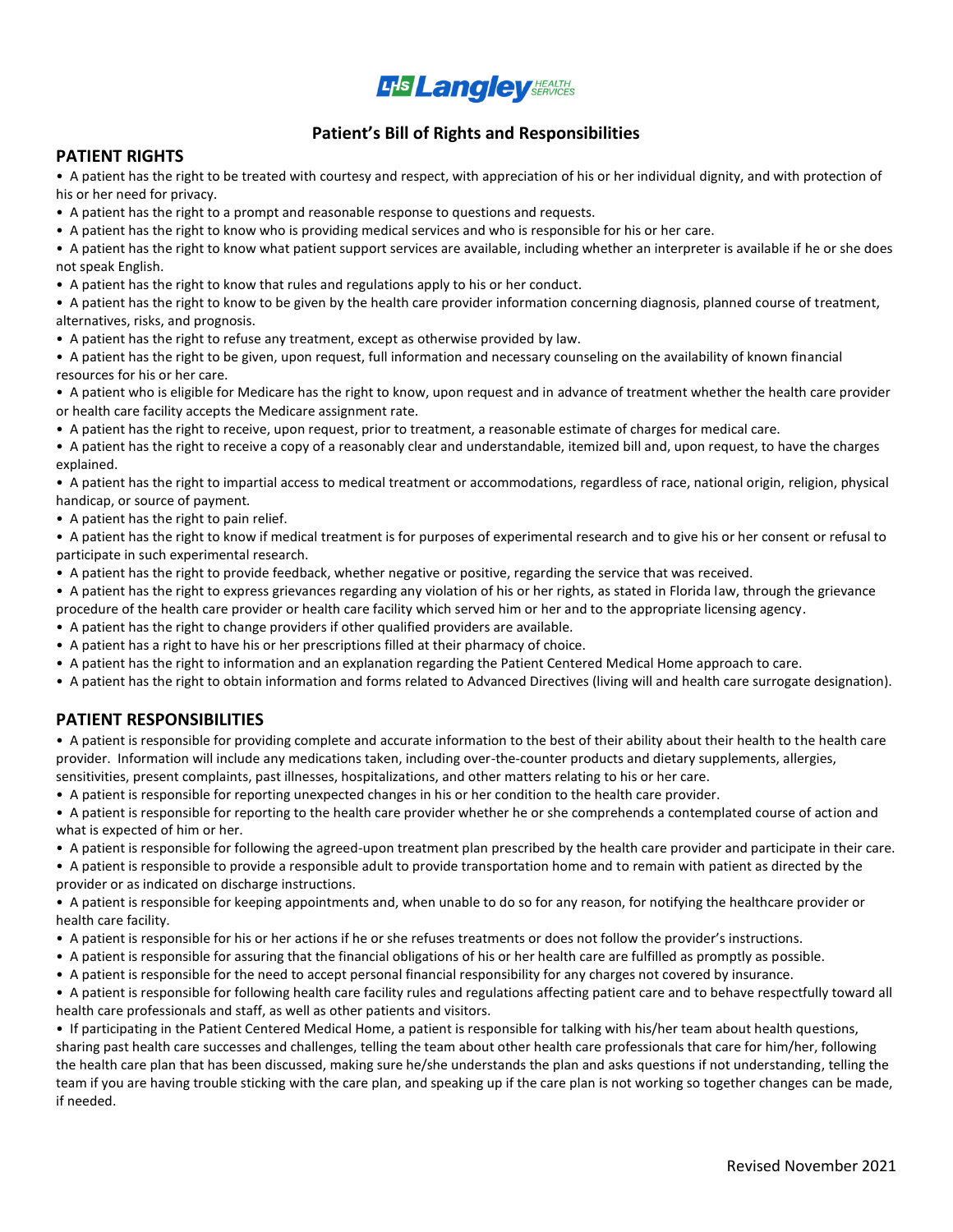# **LHS Langley SERVICES**

## **Patient's Bill of Rights and Responsibilities**

## **PATIENT RIGHTS**

• A patient has the right to be treated with courtesy and respect, with appreciation of his or her individual dignity, and with protection of his or her need for privacy.

- A patient has the right to a prompt and reasonable response to questions and requests.
- A patient has the right to know who is providing medical services and who is responsible for his or her care.

• A patient has the right to know what patient support services are available, including whether an interpreter is available if he or she does not speak English.

• A patient has the right to know that rules and regulations apply to his or her conduct.

• A patient has the right to know to be given by the health care provider information concerning diagnosis, planned course of treatment, alternatives, risks, and prognosis.

- A patient has the right to refuse any treatment, except as otherwise provided by law.
- A patient has the right to be given, upon request, full information and necessary counseling on the availability of known financial resources for his or her care.

• A patient who is eligible for Medicare has the right to know, upon request and in advance of treatment whether the health care provider or health care facility accepts the Medicare assignment rate.

• A patient has the right to receive, upon request, prior to treatment, a reasonable estimate of charges for medical care.

• A patient has the right to receive a copy of a reasonably clear and understandable, itemized bill and, upon request, to have the charges explained.

• A patient has the right to impartial access to medical treatment or accommodations, regardless of race, national origin, religion, physical handicap, or source of payment.

• A patient has the right to pain relief.

• A patient has the right to know if medical treatment is for purposes of experimental research and to give his or her consent or refusal to participate in such experimental research.

• A patient has the right to provide feedback, whether negative or positive, regarding the service that was received.

• A patient has the right to express grievances regarding any violation of his or her rights, as stated in Florida law, through the grievance

- procedure of the health care provider or health care facility which served him or her and to the appropriate licensing agency.
- A patient has the right to change providers if other qualified providers are available.
- A patient has a right to have his or her prescriptions filled at their pharmacy of choice.
- A patient has the right to information and an explanation regarding the Patient Centered Medical Home approach to care.
- A patient has the right to obtain information and forms related to Advanced Directives (living will and health care surrogate designation).

## **PATIENT RESPONSIBILITIES**

• A patient is responsible for providing complete and accurate information to the best of their ability about their health to the health care provider. Information will include any medications taken, including over-the-counter products and dietary supplements, allergies, sensitivities, present complaints, past illnesses, hospitalizations, and other matters relating to his or her care.

• A patient is responsible for reporting unexpected changes in his or her condition to the health care provider.

• A patient is responsible for reporting to the health care provider whether he or she comprehends a contemplated course of action and what is expected of him or her.

• A patient is responsible for following the agreed-upon treatment plan prescribed by the health care provider and participate in their care.

• A patient is responsible to provide a responsible adult to provide transportation home and to remain with patient as directed by the provider or as indicated on discharge instructions.

• A patient is responsible for keeping appointments and, when unable to do so for any reason, for notifying the healthcare provider or health care facility.

- A patient is responsible for his or her actions if he or she refuses treatments or does not follow the provider's instructions.
- A patient is responsible for assuring that the financial obligations of his or her health care are fulfilled as promptly as possible.
- A patient is responsible for the need to accept personal financial responsibility for any charges not covered by insurance.

• A patient is responsible for following health care facility rules and regulations affecting patient care and to behave respectfully toward all health care professionals and staff, as well as other patients and visitors.

• If participating in the Patient Centered Medical Home, a patient is responsible for talking with his/her team about health questions, sharing past health care successes and challenges, telling the team about other health care professionals that care for him/her, following the health care plan that has been discussed, making sure he/she understands the plan and asks questions if not understanding, telling the team if you are having trouble sticking with the care plan, and speaking up if the care plan is not working so together changes can be made, if needed.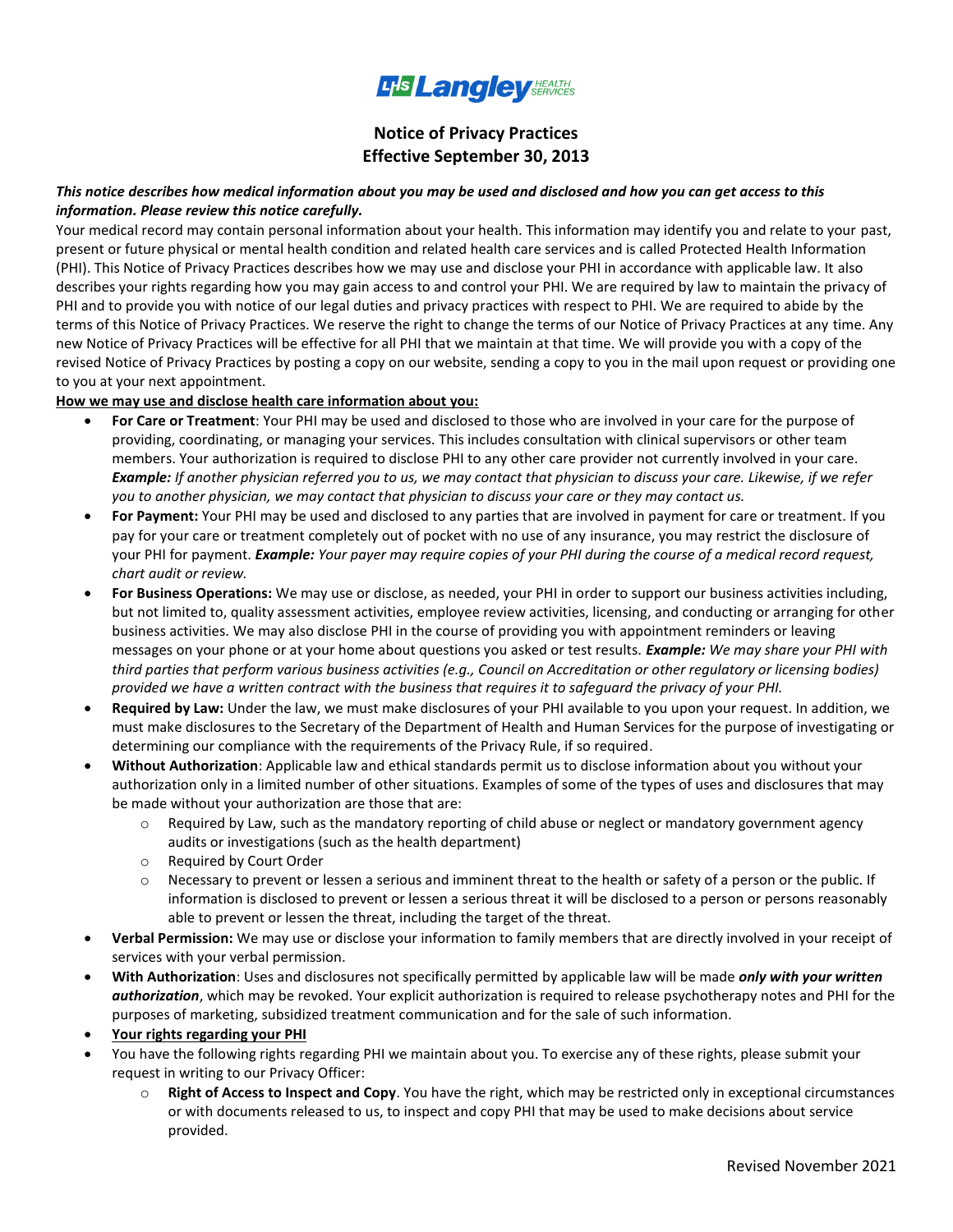

## **Notice of Privacy Practices Effective September 30, 2013**

## *This notice describes how medical information about you may be used and disclosed and how you can get access to this information. Please review this notice carefully.*

Your medical record may contain personal information about your health. This information may identify you and relate to your past, present or future physical or mental health condition and related health care services and is called Protected Health Information (PHI). This Notice of Privacy Practices describes how we may use and disclose your PHI in accordance with applicable law. It also describes your rights regarding how you may gain access to and control your PHI. We are required by law to maintain the privacy of PHI and to provide you with notice of our legal duties and privacy practices with respect to PHI. We are required to abide by the terms of this Notice of Privacy Practices. We reserve the right to change the terms of our Notice of Privacy Practices at any time. Any new Notice of Privacy Practices will be effective for all PHI that we maintain at that time. We will provide you with a copy of the revised Notice of Privacy Practices by posting a copy on our website, sending a copy to you in the mail upon request or providing one to you at your next appointment.

## **How we may use and disclose health care information about you:**

- **For Care or Treatment**: Your PHI may be used and disclosed to those who are involved in your care for the purpose of providing, coordinating, or managing your services. This includes consultation with clinical supervisors or other team members. Your authorization is required to disclose PHI to any other care provider not currently involved in your care. *Example: If another physician referred you to us, we may contact that physician to discuss your care. Likewise, if we refer you to another physician, we may contact that physician to discuss your care or they may contact us.*
- **For Payment:** Your PHI may be used and disclosed to any parties that are involved in payment for care or treatment. If you pay for your care or treatment completely out of pocket with no use of any insurance, you may restrict the disclosure of your PHI for payment. *Example: Your payer may require copies of your PHI during the course of a medical record request, chart audit or review.*
- **For Business Operations:** We may use or disclose, as needed, your PHI in order to support our business activities including, but not limited to, quality assessment activities, employee review activities, licensing, and conducting or arranging for other business activities. We may also disclose PHI in the course of providing you with appointment reminders or leaving messages on your phone or at your home about questions you asked or test results. *Example: We may share your PHI with third parties that perform various business activities (e.g., Council on Accreditation or other regulatory or licensing bodies) provided we have a written contract with the business that requires it to safeguard the privacy of your PHI.*
- **Required by Law:** Under the law, we must make disclosures of your PHI available to you upon your request. In addition, we must make disclosures to the Secretary of the Department of Health and Human Services for the purpose of investigating or determining our compliance with the requirements of the Privacy Rule, if so required.
- **Without Authorization**: Applicable law and ethical standards permit us to disclose information about you without your authorization only in a limited number of other situations. Examples of some of the types of uses and disclosures that may be made without your authorization are those that are:
	- $\circ$  Required by Law, such as the mandatory reporting of child abuse or neglect or mandatory government agency audits or investigations (such as the health department)
	- o Required by Court Order
	- o Necessary to prevent or lessen a serious and imminent threat to the health or safety of a person or the public. If information is disclosed to prevent or lessen a serious threat it will be disclosed to a person or persons reasonably able to prevent or lessen the threat, including the target of the threat.
- **Verbal Permission:** We may use or disclose your information to family members that are directly involved in your receipt of services with your verbal permission.
- **With Authorization**: Uses and disclosures not specifically permitted by applicable law will be made *only with your written authorization*, which may be revoked. Your explicit authorization is required to release psychotherapy notes and PHI for the purposes of marketing, subsidized treatment communication and for the sale of such information.
- **Your rights regarding your PHI**
- You have the following rights regarding PHI we maintain about you. To exercise any of these rights, please submit your request in writing to our Privacy Officer:
	- **Right of Access to Inspect and Copy**. You have the right, which may be restricted only in exceptional circumstances or with documents released to us, to inspect and copy PHI that may be used to make decisions about service provided.